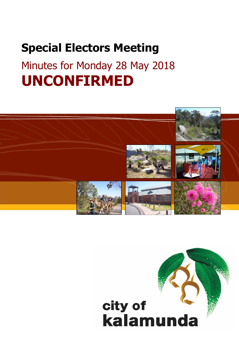## **Special Electors Meeting**

# Minutes for Monday 28 May 2018 **UNCONFIRMED**



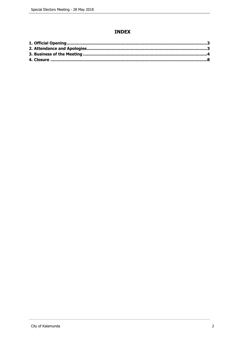## **INDEX**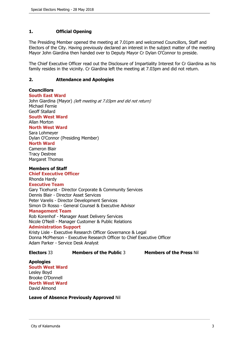### <span id="page-2-0"></span>**1. Official Opening**

The Presiding Member opened the meeting at 7.01pm and welcomed Councillors, Staff and Electors of the City. Having previously declared an interest in the subject matter of the meeting Mayor John Giardina then handed over to Deputy Mayor Cr Dylan O'Connor to preside.

The Chief Executive Officer read out the Disclosure of Impartiality Interest for Cr Giardina as his family resides in the vicinity. Cr Giardina left the meeting at 7.03pm and did not return.

#### <span id="page-2-1"></span>**2. Attendance and Apologies**

#### **Councillors**

**South East Ward** 

John Giardina (Mayor) *(left meeting at 7.03pm and did not return)* Michael Fernie Geoff Stallard **South West Ward** Allan Morton

## **North West Ward**

Sara Lohmeyer Dylan O'Connor (Presiding Member)

#### **North Ward**

Cameron Blair Tracy Destree Margaret Thomas

#### **Members of Staff**

**Chief Executive Officer** Rhonda Hardy

#### **Executive Team**

Gary Ticehurst - Director Corporate & Community Services Dennis Blair - Director Asset Services Peter Varelis - Director Development Services Simon Di Rosso - General Counsel & Executive Advisor **Management Team**

Rob Korenhof - Manager Asset Delivery Services Nicole O'Neill - Manager Customer & Public Relations **Administration Support**

Kristy Lisle - Executive Research Officer Governance & Legal Donna McPherson - Executive Research Officer to Chief Executive Officer

Adam Parker - Service Desk Analyst

**Electors** 33 **Members of the Public** 3 **Members of the Press** Nil

**Apologies South West Ward** Lesley Boyd Brooke O'Donnell **North West Ward** David Almond

**Leave of Absence Previously Approved** Nil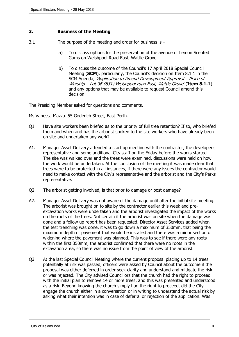#### <span id="page-3-0"></span>**3. Business of the Meeting**

- 3.1 The purpose of the meeting and order for business is
	- a) To discuss options for the preservation of the avenue of Lemon Scented Gums on Welshpool Road East, Wattle Grove.
	- b) To discuss the outcome of the Council's 17 April 2018 Special Council Meeting (**SCM**), particularly, the Council's decision on Item 8.1.1 in the SCM Agenda, *'Application to Amend Development Approval – Place of Worship – Lot 36 (831) Welshpool road East, Wattle Grove'* (**Item 8.1.1**) and any options that may be available to request Council amend this decision

The Presiding Member asked for questions and comments.

#### Ms Vanessa Mazza. 55 Goderich Street, East Perth.

- Q1. Have site workers been briefed as to the priority of full tree retention? If so, who briefed them and when and has the arborist spoken to the site workers who have already been on site and undertaken any work?
- A1. Manager Asset Delivery attended a start up meeting with the contractor, the developer's representative and some additional City staff on the Friday before the works started. The site was walked over and the trees were examined, discussions were held on how the work would be undertaken. At the conclusion of the meeting it was made clear that trees were to be protected in all instances, if there were any issues the contractor would need to make contact with the City's representative and the arborist and the City's Parks representative.
- Q2. The arborist getting involved, is that prior to damage or post damage?
- A2. Manager Asset Delivery was not aware of the damage until after the initial site meeting. The arborist was brought on to site by the contractor earlier this week and preexcavation works were undertaken and the arborist investigated the impact of the works on the roots of the trees. Not certain if the arborist was on site when the damage was done and a follow up report has been requested. Director Asset Services added when the test trenching was done, it was to go down a maximum of 350mm, that being the maximum depth of pavement that would be installed and there was a minor section of widening where the pavement was planned. This was to see if there were any roots within the first 350mm, the arborist confirmed that there were no roots in the excavation area, so there was no issue from the point of view of the arborist.
- Q3. At the last Special Council Meeting where the current proposal placing up to 14 trees potentially at risk was passed, officers were asked by Council about the outcome if the proposal was either deferred in order seek clarity and understand and mitigate the risk or was rejected. The City advised Councillors that the church had the right to proceed with the initial plan to remove 14 or more trees, and this was presented and understood as a risk. Beyond knowing the church simply had the right to proceed, did the City engage the church either in a conversation or in writing to understand the actual risk by asking what their intention was in case of deferral or rejection of the application. Was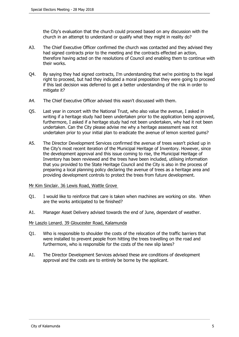the City's evaluation that the church could proceed based on any discussion with the church in an attempt to understand or qualify what they might in reality do?

- A3. The Chief Executive Officer confirmed the church was contacted and they advised they had signed contracts prior to the meeting and the contracts effected an action, therefore having acted on the resolutions of Council and enabling them to continue with their works.
- Q4. By saying they had signed contracts, I'm understanding that we're pointing to the legal right to proceed, but had they indicated a moral preposition they were going to proceed if this last decision was deferred to get a better understanding of the risk in order to mitigate it?
- A4. The Chief Executive Officer advised this wasn't discussed with them.
- Q5. Last year in concert with the National Trust, who also value the avenue, I asked in writing if a heritage study had been undertaken prior to the application being approved, furthermore, I asked if a heritage study had not been undertaken, why had it not been undertaken. Can the City please advise me why a heritage assessment was not undertaken prior to your initial plan to eradicate the avenue of lemon scented gums?
- A5. The Director Development Services confirmed the avenue of trees wasn't picked up in the City's most recent iteration of the Municipal Heritage of Inventory. However, since the development approval and this issue coming to rise, the Municipal Heritage of Inventory has been reviewed and the trees have been included, utilising information that you provided to the State Heritage Council and the City is also in the process of preparing a local planning policy declaring the avenue of trees as a heritage area and providing development controls to protect the trees from future development.

#### Mr Kim Sinclair. 36 Lewis Road, Wattle Grove

- Q1. I would like to reinforce that care is taken when machines are working on site. When are the works anticipated to be finished?
- A1. Manager Asset Delivery advised towards the end of June, dependant of weather.

#### Mr Laszlo Lenard. 39 Gloucester Road, Kalamunda

- Q1. Who is responsible to shoulder the costs of the relocation of the traffic barriers that were installed to prevent people from hitting the trees travelling on the road and furthermore, who is responsible for the costs of the new slip lanes?
- A1. The Director Development Services advised these are conditions of development approval and the costs are to entirely be borne by the applicant.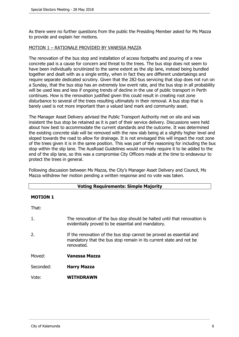As there were no further questions from the public the Presiding Member asked for Ms Mazza to provide and explain her motions.

#### MOTION 1 – RATIONALE PROVIDED BY VANESSA MAZZA

The renovation of the bus stop and installation of access footpaths and pouring of a new concrete pad is a cause for concern and threat to the trees. The bus stop does not seem to have been individually scrutinized to the same extent as the slip lane, instead being bundled together and dealt with as a single entity, when in fact they are different undertakings and require separate dedicated scrutiny. Given that the 282-bus servicing that stop does not run on a Sunday, that the bus stop has an extremely low event rate, and the bus stop in all probability will be used less and less if ongoing trends of decline in the use of public transport in Perth continues. How is the renovation justified given this could result in creating root zone disturbance to several of the trees resulting ultimately in their removal. A bus stop that is barely used is not more important than a valued land mark and community asset.

The Manager Asset Delivery advised the Public Transport Authority met on site and was insistent the bus stop be retained as it is part of their service delivery. Discussions were held about how best to accommodate the current standards and the outcome. It was determined the existing concrete slab will be removed with the new slab being at a slightly higher level and sloped towards the road to allow for drainage. It is not envisaged this will impact the root zone of the trees given it is in the same position. This was part of the reasoning for including the bus stop within the slip lane. The AusRoad Guidelines would normally require it to be added to the end of the slip lane, so this was a compromise City Officers made at the time to endeavour to protect the trees in general.

Following discussion between Ms Mazza, the City's Manager Asset Delivery and Council, Ms Mazza withdrew her motion pending a written response and no vote was taken.

| <b>Voting Requirements: Simple Majority</b> |                                                                                                                                                         |  |
|---------------------------------------------|---------------------------------------------------------------------------------------------------------------------------------------------------------|--|
| <b>MOTION 1</b>                             |                                                                                                                                                         |  |
| That:                                       |                                                                                                                                                         |  |
| 1.                                          | The renovation of the bus stop should be halted until that renovation is<br>evidentially proved to be essential and mandatory.                          |  |
| 2.                                          | If the renovation of the bus stop cannot be proved as essential and<br>mandatory that the bus stop remain in its current state and not be<br>renovated. |  |
| Moved:                                      | Vanessa Mazza                                                                                                                                           |  |
| Seconded:                                   | <b>Harry Mazza</b>                                                                                                                                      |  |
| Vote:                                       | <b>WITHDRAWN</b>                                                                                                                                        |  |
|                                             |                                                                                                                                                         |  |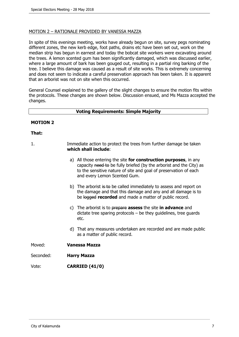#### MOTION 2 – RATIONALE PROVIDED BY VANESSA MAZZA

In spite of this evenings meeting, works have already begun on site, survey pegs nominating different zones, the new kerb edge, foot paths, drains etc have been set out, work on the median strip has begun in earnest and today the bobcat site workers were excavating around the trees. A lemon scented gum has been significantly damaged, which was discussed earlier, where a large amount of bark has been gouged out, resulting in a partial ring barking of the tree. I believe this damage was caused as a result of site works. This is extremely concerning and does not seem to indicate a careful preservation approach has been taken. It is apparent that an arborist was not on site when this occurred.

General Counsel explained to the gallery of the slight changes to ensure the motion fits within the protocols. These changes are shown below. Discussion ensued, and Ms Mazza accepted the changes.

#### **Voting Requirements: Simple Majority**

#### **MOTION 2**

#### **That:**

| Immediate action to protect the trees from further damage be taken |
|--------------------------------------------------------------------|
| which shall include:                                               |
|                                                                    |

- a) All those entering the site **for construction purposes**, in any capacity need to be fully briefed (by the arborist and the City) as to the sensitive nature of site and goal of preservation of each and every Lemon Scented Gum.
- b) The arborist is to be called immediately to assess and report on the damage and that this damage and any and all damage is to be logged **recorded** and made a matter of public record.
- c) The arborist is to prepare **assess** the site **in advance** and dictate tree sparing protocols – be they guidelines, tree guards etc.
- d) That any measures undertaken are recorded and are made public as a matter of public record.

Moved: **Vanessa Mazza**

Seconded: **Harry Mazza**

Vote: **CARRIED (41/0)**